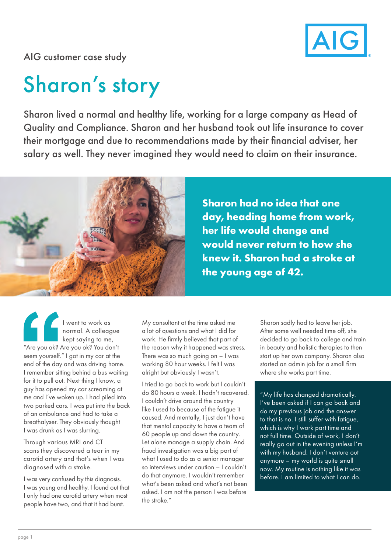

AIG customer case study

## Sharon's story

Sharon lived a normal and healthy life, working for a large company as Head of Quality and Compliance. Sharon and her husband took out life insurance to cover their mortgage and due to recommendations made by their financial adviser, her salary as well. They never imagined they would need to claim on their insurance.



**Sharon had no idea that one day, heading home from work, her life would change and would never return to how she knew it. Sharon had a stroke at the young age of 42.**

I went to work as normal. A colleague kept saying to me, "Are you ok? Are you ok? You don't seem yourself." I got in my car at the end of the day and was driving home. I remember sitting behind a bus waiting for it to pull out. Next thing I know, a guy has opened my car screaming at me and I've woken up. I had piled into two parked cars. I was put into the back of an ambulance and had to take a breathalyser. They obviously thought I was drunk as I was slurring.

Through various MRI and CT scans they discovered a tear in my carotid artery and that's when I was diagnosed with a stroke.

I was very confused by this diagnosis. I was young and healthy. I found out that I only had one carotid artery when most people have two, and that it had burst.

My consultant at the time asked me a lot of questions and what I did for work. He firmly believed that part of the reason why it happened was stress. There was so much going on – I was working 80 hour weeks. I felt I was alright but obviously I wasn't.

I tried to go back to work but I couldn't do 80 hours a week. I hadn't recovered. I couldn't drive around the country like I used to because of the fatigue it caused. And mentally, I just don't have that mental capacity to have a team of 60 people up and down the country. Let alone manage a supply chain. And fraud investigation was a big part of what I used to do as a senior manager so interviews under caution – I couldn't do that anymore. I wouldn't remember what's been asked and what's not been asked. I am not the person I was before the stroke."

Sharon sadly had to leave her job. After some well needed time off, she decided to go back to college and train in beauty and holistic therapies to then start up her own company. Sharon also started an admin job for a small firm where she works part time.

"My life has changed dramatically. I've been asked if I can go back and do my previous job and the answer to that is no. I still suffer with fatigue, which is why I work part time and not full time. Outside of work, I don't really go out in the evening unless I'm with my husband. I don't venture out anymore – my world is quite small now. My routine is nothing like it was before. I am limited to what I can do.